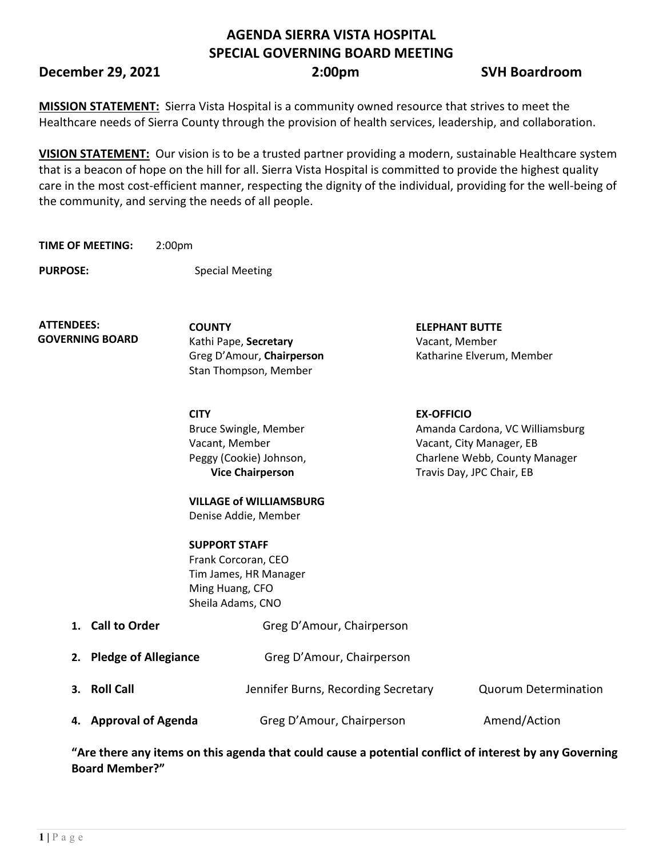# **AGENDA SIERRA VISTA HOSPITAL SPECIAL GOVERNING BOARD MEETING**

**December 29, 2021 2:00pm SVH Boardroom**

**MISSION STATEMENT:** Sierra Vista Hospital is a community owned resource that strives to meet the Healthcare needs of Sierra County through the provision of health services, leadership, and collaboration.

**VISION STATEMENT:** Our vision is to be a trusted partner providing a modern, sustainable Healthcare system that is a beacon of hope on the hill for all. Sierra Vista Hospital is committed to provide the highest quality care in the most cost-efficient manner, respecting the dignity of the individual, providing for the well-being of the community, and serving the needs of all people.

**TIME OF MEETING:** 2:00pm

**PURPOSE:** Special Meeting

**ATTENDEES: GOVERNING BOARD**

**COUNTY ELEPHANT BUTTE**  Kathi Pape, **Secretary** Vacant, Member Stan Thompson, Member

**CITY EX-OFFICIO** Bruce Swingle, Member Vacant, Member Peggy (Cookie) Johnson, **Vice Chairperson**

Greg D'Amour, **Chairperson** Katharine Elverum, Member

Amanda Cardona, VC Williamsburg Vacant, City Manager, EB Charlene Webb, County Manager Travis Day, JPC Chair, EB

**VILLAGE of WILLIAMSBURG** Denise Addie, Member

**SUPPORT STAFF** Frank Corcoran, CEO Tim James, HR Manager Ming Huang, CFO Sheila Adams, CNO

| 1. Call to Order        | Greg D'Amour, Chairperson           |                             |
|-------------------------|-------------------------------------|-----------------------------|
| 2. Pledge of Allegiance | Greg D'Amour, Chairperson           |                             |
| 3. Roll Call            | Jennifer Burns, Recording Secretary | <b>Quorum Determination</b> |
| 4. Approval of Agenda   | Greg D'Amour, Chairperson           | Amend/Action                |

**"Are there any items on this agenda that could cause a potential conflict of interest by any Governing Board Member?"**